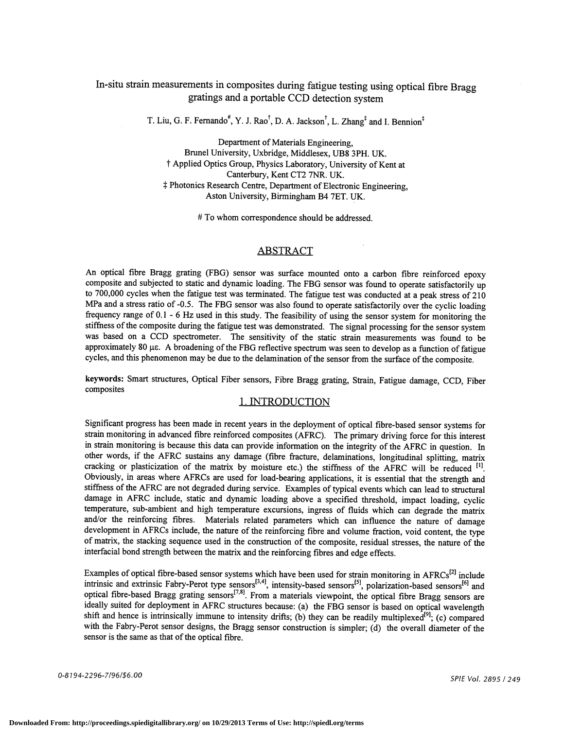# In-situ strain measurements in composites during fatigue testing using optical fibre Bragg gratings and a portable CCD detection system

T. Liu, G. F. Fernando<sup>#</sup>, Y. J. Rao<sup>†</sup>, D. A. Jackson<sup>†</sup>, L. Zhang<sup>‡</sup> and I. Bennion<sup>‡</sup>

Department of Materials Engineering, Brunel University, Uxbridge, Middlesex, UB8 3PH. UK. t Applied Optics Group, Physics Laboratory, University of Kent at Canterbury, Kent CT2 7NR. UK. 1: Photonics Research Centre, Department of Electronic Engineering, Aston University, Birmingham B4 7ET. UK.

# To whom correspondence should be addressed.

### ABSTRACT

An optical fibre Bragg grating (FBG) sensor was surface mounted onto a carbon fibre reinforced epoxy composite and subjected to static and dynamic loading. The FBG sensor was found to operate satisfactorily up to 700,000 cycles when the fatigue test was terminated. The fatigue test was conducted at a peak stress of 210 MPa and a stress ratio of -0.5. The FBG sensor was also found to operate satisfactorily over the cyclic loading frequency range of 0.1 - 6 Hz used in this study. The feasibility of using the sensor system for monitoring the stiffness of the composite during the fatigue test was demonstrated. The signal processing for the sensor system was based on a CCD spectrometer. The sensitivity of the static strain measurements was found to be approximately 80 µs. A broadening of the FBG reflective spectrum was seen to develop as a function of fatigue cycles, and this phenomenon may be due to the delamination of the sensor from the surface of the composite.

keywords: Smart structures, Optical Fiber sensors, Fibre Bragg grating, Strain, Fatigue damage, CCD, Fiber composites

### 1. INTRODUCTION

Significant progress has been made in recent years in the deployment of optical fibre-based sensor systems for strain monitoring in advanced fibre reinforced composites (AFRC). The primary driving force for this interest in strain monitoring is because this data can provide information on the integrity of the AFRC in question. In other words, if the AFRC sustains any damage (fibre fracture, delaminations, longitudinal splitting, matrix cracking or plasticization of the matrix by moisture etc.) the stiffness of the AFRC will be reduced <sup>[1]</sup>. Obviously, in areas where AFRCs are used for load-bearing applications, it is essential that the strength and stiffness of the AFRC are not degraded during service. Examples of typical events which can lead to structural damage in AFRC include, static and dynamic loading above a specified threshold, impact loading, cyclic temperature, sub-ambient and high temperature excursions, ingress of fluids which can degrade the matrix and/or the reinforcing fibres. Materials related parameters which can influence the nature of damage development in AFRCs include, the nature of the reinforcing fibre and volume fraction, void content, the type of matrix, the stacking sequence used in the construction of the composite, residual stresses, the nature of the interfacial bond strength between the matrix and the reinforcing fibres and edge effects.

Examples of optical fibre-based sensor systems which have been used for strain monitoring in AFRCs<sup>[2]</sup> include intrinsic and extrinsic Fabry-Perot type sensors<sup>194</sup>, intensity-based sensors<sup>191</sup>, polarization-based sensors<sup>161</sup> and optical fibre-based Bragg grating sensors<sup>1791</sup>. From a materials viewpoint, the optical fibre Bragg sensors are ideally suited for deployment in AFRC structures because: (a) the FBG sensor is based on optical wavelength shift and hence is intrinsically immune to intensity drifts; (b) they can be readily multiplexed<sup>[9]</sup>; (c) compared with the Fabry-Perot sensor designs, the Bragg sensor construction is simpler; (d) the overall diameter of the sensor is the same as that of the optical fibre.

O-8194-2296-7/96/\$6.OO SPIE Vol. 2895/249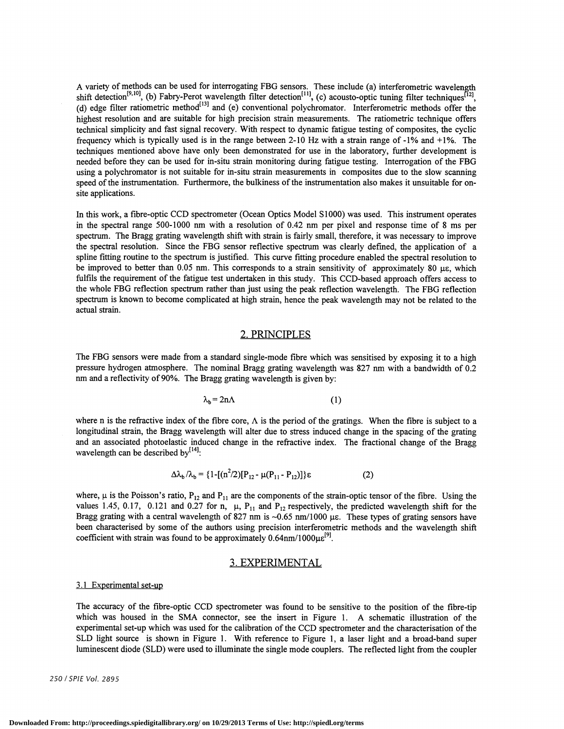A variety of methods can be used for interrogating FBG sensors. These include (a) interferometric wavelength shift detection<sup> $(319)$ </sup>, (b) Fabry-Perot wavelength filter detection<sup> $(31)$ </sup>, (c) acousto-optic tuning filter techniques<sup>1421</sup>, (d) edge filter ratiometric method<sup>[13]</sup> and (e) conventional polychromator. Interferometric methods offer the highest resolution and are suitable for high precision strain measurements. The ratiometric technique offers technical simplicity and fast signal recovery. With respect to dynamic fatigue testing of composites, the cyclic frequency which is typically used is in the range between 2-10 Hz with a strain range of -1% and +1%. The techniques mentioned above have only been demonstrated for use in the laboratory, further development is needed before they can be used for in-situ strain monitoring during fatigue testing. Interrogation of the FBG using a polychromator is not suitable for in-situ strain measurements in composites due to the slow scanning speed of the instrumentation. Furthermore, the bulkiness of the instrumentation also makes it unsuitable for onsite applications.

In this work, a fibre-optic CCD spectrometer (Ocean Optics Model Sl000) was used. This instrument operates in the spectral range 500-1000 nm with a resolution of 0.42 nm per pixel and response time of 8 ms per spectrum. The Bragg grating wavelength shift with strain is fairly small, therefore, it was necessary to improve the spectral resolution. Since the FBG sensor reflective spectrum was clearly defmed, the application of a spline fitting routine to the spectrum is justified. This curve fitting procedure enabled the spectral resolution to be improved to better than 0.05 nm. This corresponds to a strain sensitivity of approximately 80  $\mu$ e, which fulfils the requirement of the fatigue test undertaken in this study. This CCD-based approach offers access to the whole FBG reflection spectrum rather than just using the peak reflection wavelength. The FBG reflection spectrum is known to become complicated at high strain, hence the peak wavelength may not be related to the actual strain.

### 2. PRINCIPLES

The FBG sensors were made from a standard single-mode fibre which was sensitised by exposing it to a high pressure hydrogen atmosphere. The nominal Bragg grating wavelength was 827 nm with a bandwidth of 0.2 nm and a reflectivity of 90%. The Bragg grating wavelength is given by:

$$
\lambda_b = 2n\Lambda \tag{1}
$$

where n is the refractive index of the fibre core,  $\Lambda$  is the period of the gratings. When the fibre is subject to a longitudinal strain, the Bragg wavelength will alter due to stress induced change in the spacing of the grating and an associated photoelastic induced change in the refractive index. The fractional change of the Bragg wavelength can be described by<sup>[14]</sup>:

$$
\Delta\lambda_b/\lambda_b = \{1 - [(n^2/2)[P_{12} - \mu(P_{11} - P_{12})]\}\epsilon
$$
 (2)

where,  $\mu$  is the Poisson's ratio, P<sub>12</sub> and P<sub>11</sub> are the components of the strain-optic tensor of the fibre. Using the values 1.45, 0.17, 0.121 and 0.27 for n,  $\mu$ ,  $P_{11}$  and  $P_{12}$  respectively, the predicted wavelength shift for the Bragg grating with a central wavelength of 827 nm is  $\sim 0.65$  nm/1000  $\mu$ e. These types of grating sensors have been characterised by some of the authors using precision interferometric methods and the wavelength shift coefficient with strain was found to be approximately  $0.64$ nm/ $1000\mu\epsilon^{[9]}$ .

#### 3. EXPERIMENTAL

#### 3.1 Experimental set-up

The accuracy of the fibre-optic CCD spectrometer was found to be sensitive to the position of the fibre-tip which was housed in the SMA connector, see the insert in Figure 1. A schematic illustration of the experimental set-up which was used for the calibration of the CCD spectrometer and the characterisation of the SLD light source is shown in Figure 1. With reference to Figure 1, a laser light and a broad-band super luminescent diode (SLD) were used to illuminate the single mode couplers. The reflected light from the coupler

250/SPIE Vol. 2895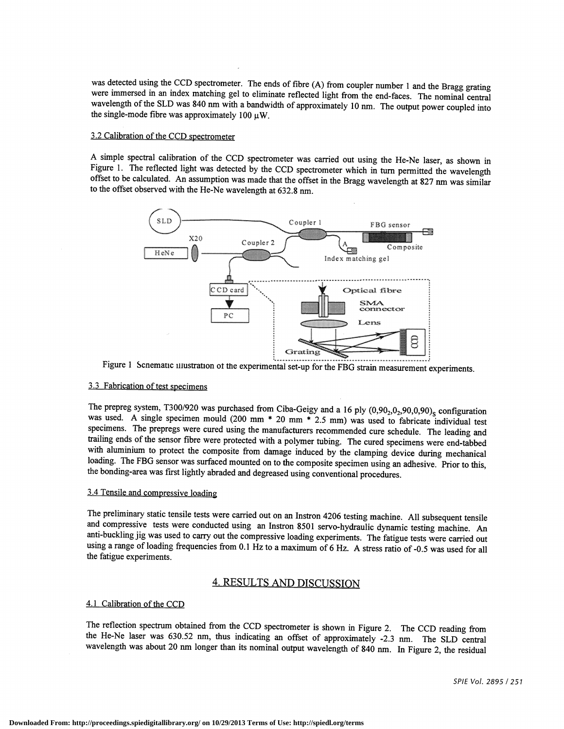was detected using the CCD spectrometer. The ends of fibre (A) from coupler number 1 and the Bragg grating were immersed in an index matching gel to eliminate reflected light from the end-faces. The nominal central wavelength of the SLD was 840 nm with a bandwidth of approximately 10 nm. The output power coupled into the single-mode fibre was approximately 100  $\mu$ W.

#### 3.2 Calibration of the CCD spectrometer

A simple spectral calibration of the CCD spectrometer was carried out using the He-Ne laser, as shown in Figure 1. The reflected light was detected by the CCD spectrometer which in turn permitted the wavelength offset to be calculated. An assumption was made that the offset in the Bragg wavelength at 827 nm was similar to the offset observed with the He-Ne wavelength at 632.8 nm.



Figure 1 Scnematic illustration of the experimental set-up for the FBG strain measurement experiments.

### 3 .3 Fabrication of test specimens

The prepreg system, T300/920 was purchased from Ciba-Geigy and a 16 ply  $(0.90<sub>2</sub>, 0<sub>2</sub>, 90, 0.90)<sub>S</sub>$  configuration was used. A single specimen mould (200 mm \* 20 mm \* 2.5 mm) was used to fabricate individual tes specimens. The prepregs were cured using the manufacturers recommended cure schedule. The leading and trailing ends of the sensor fibre were protected with a polymer tubing. The cured specimens were end-tabbed with aluminium to protect the composite from damage induced by the clamping device during mechanical loading. The FBG sensor was surfaced mounted on to the composite specimen using an adhesive. Prior to this, the bonding-area was first lightly abraded and degreased using conventional procedures.

## 3.4 Tensile and compressive loading

The preliminary static tensile tests were carried out on an Instron 4206 testing machine. Allsubsequent tensile and compressive tests were conducted using an Instron 8501 servo-hydraulic dynamictesting machine. An anti-buckling jig was used to carry out the compressive loading experiments. The fatigue tests were carried out using a range of loading frequencies from 0.1 Hz to a maximum of 6 Hz. A stress ratio of -0.5 was used for all the fatigue experiments.

### 4. RESULTS AND DISCUSSION

#### 4.1 Calibration of the CCD

The reflection spectrum obtained from the CCD spectrometer is shown in Figure 2. The CCD reading from the He-Ne laser was 630.52 nm, thus indicating an offset of approximately -2.3 nm. The SLD central wavelength was about 20 nm longer than its nominal output wavelength of 840 nm. In Figure 2, the residual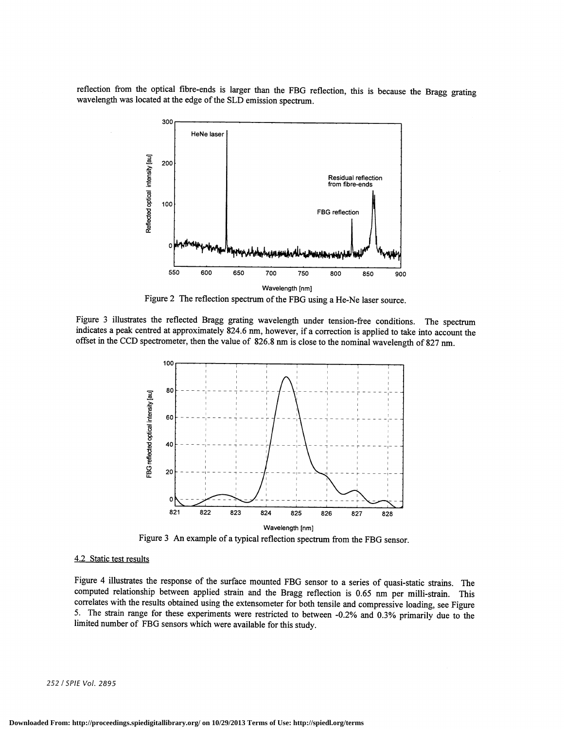reflection from the optical fibre-ends is larger than the FBG reflection, this is because the Bragg grating wavelength was located at the edge of the SLD emission spectrum.



Figure 2 The reflection spectrum of the FBG using a He-Ne laser source.

Figure 3 illustrates the reflected Bragg grating wavelength under tension-free conditions. The spectrum indicates a peak centred at approximately 824.6 nm, however, if a correction is applied to take into account the offset in the CCD spectrometer, then the value of 826.8 nm is close to the nominal wavelength of 827 nm.



Figure 3 An example of a typical reflection spectrum from the FBG sensor.

#### 4.2 Static test results

Figure 4 illustrates the response of the surface mounted FBG sensor to a series of quasi-static strains. The computed relationship between applied strain and the Bragg reflection is 0.65 nm per milli-strain. This correlates with the results obtained using the extensometer for both tensile and compressive loading, see Figure 5. The strain range for these experiments were restricted to between -0.2% and 0.3% primarily due to the limited number of FBG sensors which were available for this study.

252 / SPIE Vol. 2895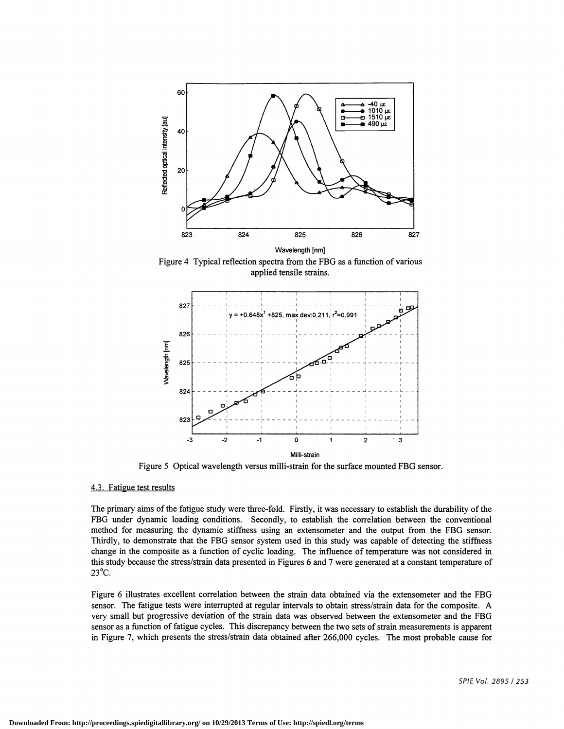

Figure4 Typical reflection spectra from the FBG as a function of various applied tensile strains.



Figure 5 Optical wavelength versus milli-strain for the surface mounted FBG sensor.

#### 4.3. Fatigue test results

The primary aims ofthe fatigue study were three-fold. Firstly, it was necessary to establish the durability of the FBG under dynamic loading conditions. Secondly, to establish the correlation between the conventional method for measuring the dynamic stiffness using an extensometer and the output from the FBG sensor. Thirdly, to demonstrate that the FBG sensor system used in this study was capable of detecting the stiffness change in the composite as a function of cyclic loading. The influence of temperature was not considered in this study because the stress/strain data presented in Figures 6 and 7were generated at a constant temperature of 23°C.

Figure 6 illustrates excellent correlation between the strain data obtained via the extensometer and the FBG sensor. The fatigue tests were interrupted at regular intervals to obtain stress/strain data for the composite. A very small but progressive deviation of the strain data was observed between the extensometer and the FBG sensor as a function of fatigue cycles. This discrepancy between the two sets of strain measurements is apparent in Figure 7, which presents the stress/strain data obtained after 266,000 cycles. The most probable cause for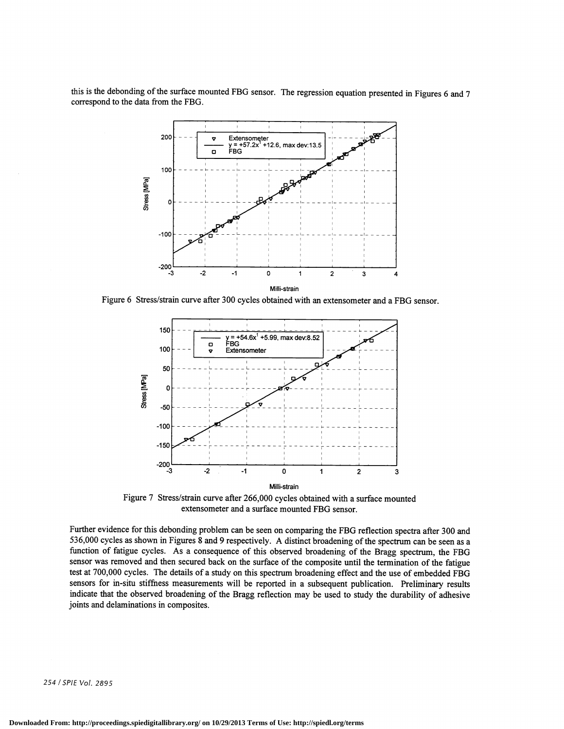this is the debonding of the surface mounted FBG sensor. The regression equation presented in Figures 6 and 7 correspond to the data from the FBG.



Figure 6 Stress/strain curve after 300 cycles obtained with an extensometer and a FBG sensor.



Figure 7 Stress/strain curve after 266,000 cycles obtained with a surface mounted extensometer and a surface mounted FBG sensor.

Further evidence for this debonding problem can be seen on comparing the FBG reflection spectra after 300 and 536,000 cycles as shown in Figures 8 and 9 respectively. A distinct broadening ofthe spectrum can be seen as a function of fatigue cycles. As a consequence of this observed broadening of the Bragg spectrum, the FBG sensor was removed and then secured back on the surface of the composite until the termination of the fatigue test at 700,000 cycles. The details of a study on this spectrum broadening effect and the use of embedded FBG sensors for in-situ stiffness measurements will be reported in a subsequent publication. Preliminary results indicate that the observed broadening of the Bragg reflection may be used to study the durability of adhesive joints and delaminations in composites.

254/SPIE Vol. 2895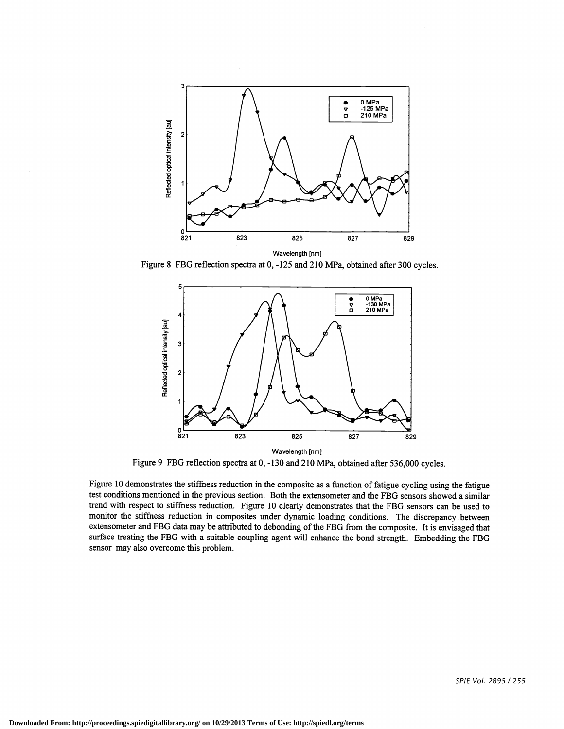

Figure 8 FBG reflection spectra at 0, -125 and 210 MPa, obtained after 300 cycles.



Figure 9 FBG reflection spectra at 0, -130 and 210 MPa, obtained after 536,000 cycles.

Figure 10 demonstrates the stiffness reduction in the composite as a function of fatigue cycling using the fatigue test conditions mentioned in the previous section. Both the extensometer and the FBG sensors showed a similar trend with respect to stiffness reduction. Figure 10 clearly demonstrates that the FBG sensors can be used to monitor the stiffness reduction in composites under dynamic loading conditions. The discrepancy between extensometer and FBG data may be attributed to debonding of the FBG from the composite. It is envisaged that surface treating the FBG with a suitable coupling agent will enhance the bond strength. Embedding the FBG sensor may also overcome this problem.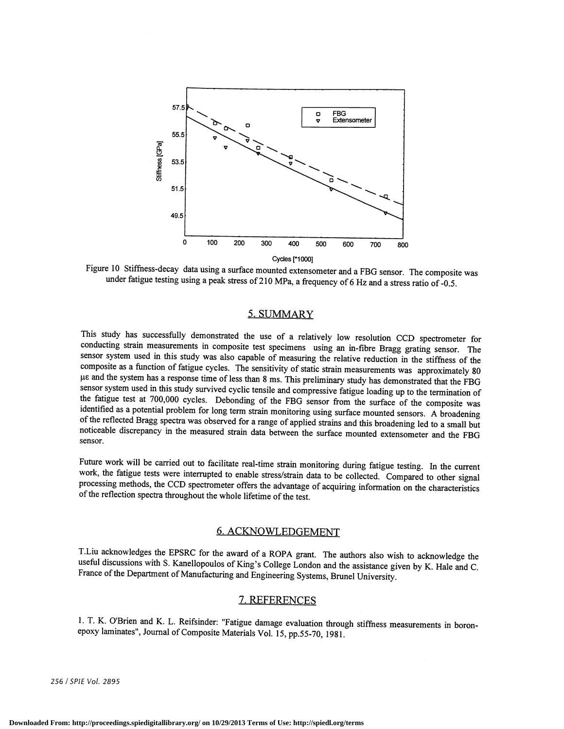

Figure 10 Stiffness-decay data using a surface mounted extensometer and a FBG sensor. The compositewas under fatigue testing using a peak stress of 210 MPa, a frequency of 6 Hz and a stress ratio of -0.5.

## 5. SUMMARY

This study has successfully demonstrated the use of a relatively low resolution CCD spectrometer for conducting strain measurements hi composite test specimens using an in-fibre Bragg grating sensor. The sensor system used in this study was also capable of measuring the relative reduction in the stiffness of the composite as a function of fatigue cycles. The sensitivity of static strain measurements was approximately 80 ,.tc and the system has a response time of less than 8 ms. This preliminary study has demonstrated that the FBG sensor system used in this study survived cyclic tensile and compressive fatigue loading up to the termination of the fatigue test at 700,000 cycles. Debonding of the FBG sensor from the surface of the composite was identified as a potential problem for long term strain monitoring using surface mounted sensors. A broadening<br>of the reflected Bragg spectra was observed for a range of applied strains and this broadening led to a small bu noticeable discrepancy in the measured strain data between the surface mounted extensometer and the FBG sensor.

Future work will be carried out to facilitate real-time strain monitoring during fatigue testing. In the current work, the fatigue tests were interrupted to enable stress/strain data to be collected. Compared to other sign processing methods, the CCD spectrometer offers the advantage of acquiring information on the characteristics of the reflection spectra throughout the whole lifetime of the test.

## 6. ACKNOWLEDGEMENT

T.Liu acknowledges the EPSRC for the award of a ROPA grant. The authors also wish to acknowledge the useful discussions with S. Kanellopoulos of King's College London and the assistance given by K. Hale and C. France of the Department of Manufacturing and Engineering Systems, Brunel University.

### 7. REFERENCES

1. T. K. O'Brien and K. L. Reifsinder: "Fatigue damage evaluation through stiffness measurements in boronepoxy laminates", Journal of Composite Materials Vol. 15, pp.55-70, 1981.

256 / SPIE Vol. 2895